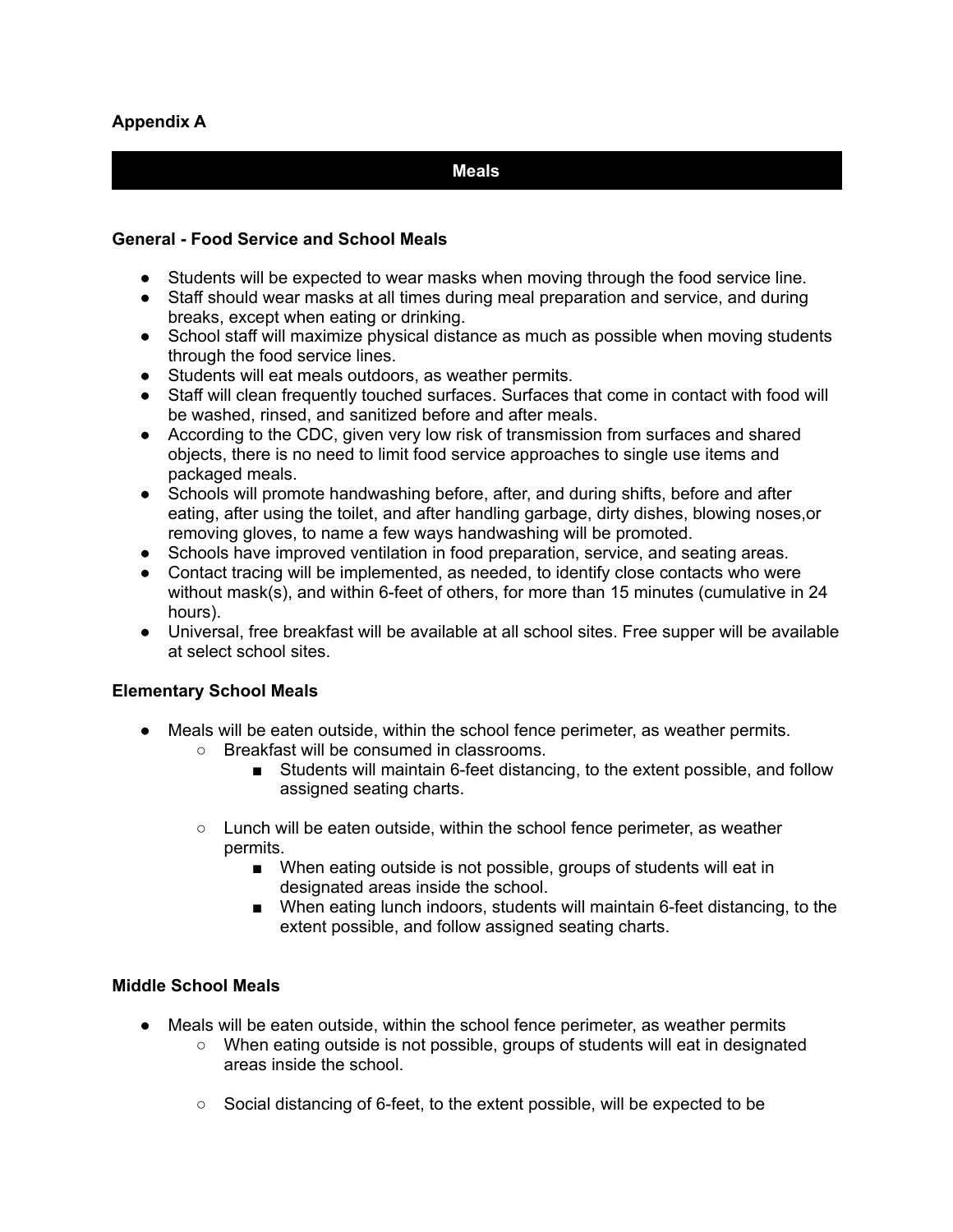## **Meals**

### **General - Food Service and School Meals**

- Students will be expected to wear masks when moving through the food service line.
- Staff should wear masks at all times during meal preparation and service, and during breaks, except when eating or drinking.
- School staff will maximize physical distance as much as possible when moving students through the food service lines.
- Students will eat meals outdoors, as weather permits.
- Staff will clean frequently touched surfaces. Surfaces that come in contact with food will be washed, rinsed, and sanitized before and after meals.
- According to the CDC, given very low risk of transmission from surfaces and shared objects, there is no need to limit food service approaches to single use items and packaged meals.
- Schools will promote handwashing before, after, and during shifts, before and after eating, after using the toilet, and after handling garbage, dirty dishes, blowing noses,or removing gloves, to name a few ways handwashing will be promoted.
- Schools have improved ventilation in food preparation, service, and seating areas.
- Contact tracing will be implemented, as needed, to identify close contacts who were without mask(s), and within 6-feet of others, for more than 15 minutes (cumulative in 24 hours).
- Universal, free breakfast will be available at all school sites. Free supper will be available at select school sites.

### **Elementary School Meals**

- Meals will be eaten outside, within the school fence perimeter, as weather permits.
	- Breakfast will be consumed in classrooms.
		- Students will maintain 6-feet distancing, to the extent possible, and follow assigned seating charts.
	- $\circ$  Lunch will be eaten outside, within the school fence perimeter, as weather permits.
		- When eating outside is not possible, groups of students will eat in designated areas inside the school.
		- When eating lunch indoors, students will maintain 6-feet distancing, to the extent possible, and follow assigned seating charts.

### **Middle School Meals**

- Meals will be eaten outside, within the school fence perimeter, as weather permits
	- When eating outside is not possible, groups of students will eat in designated areas inside the school.
		- Social distancing of 6-feet, to the extent possible, will be expected to be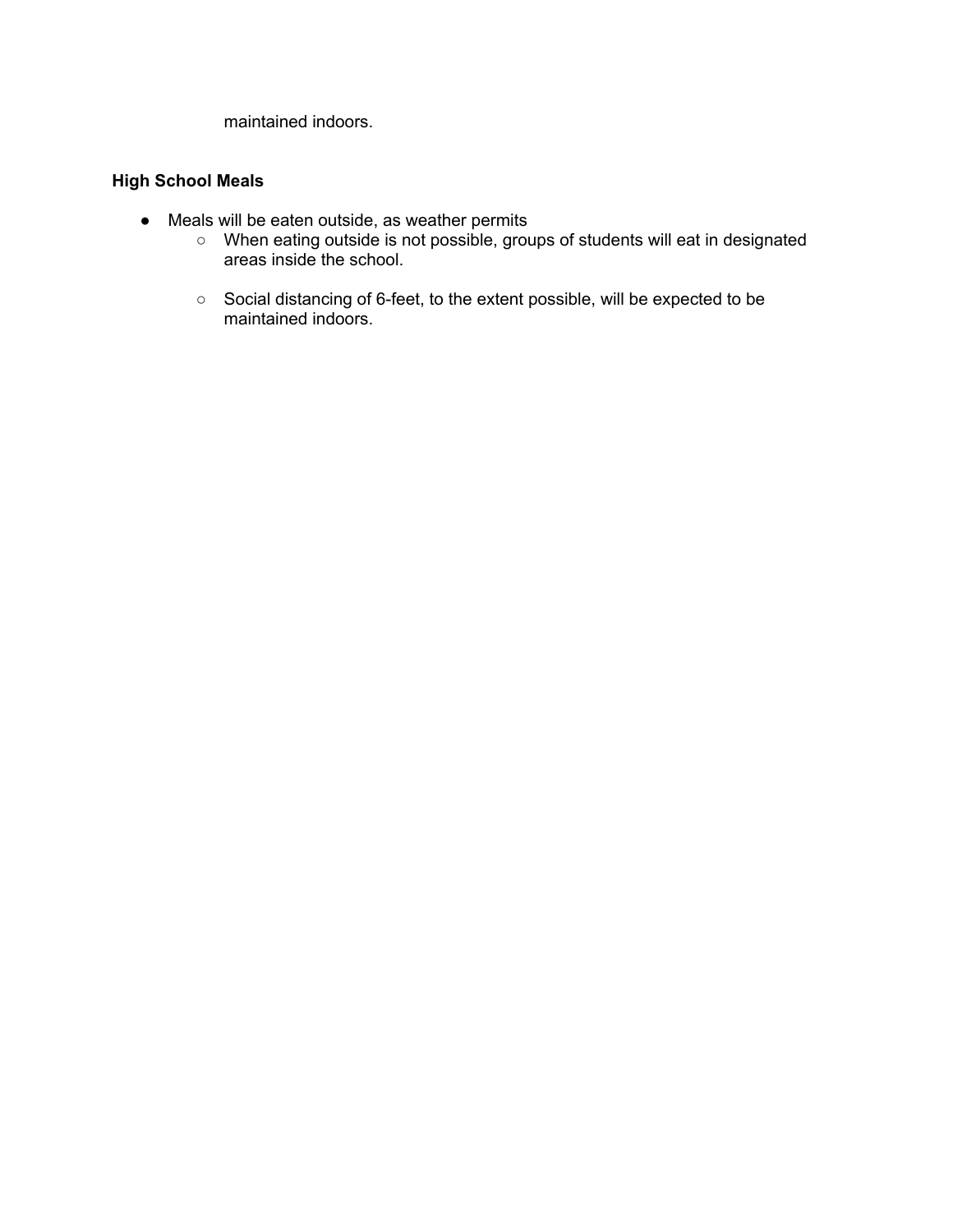maintained indoors.

### **High School Meals**

- Meals will be eaten outside, as weather permits
	- When eating outside is not possible, groups of students will eat in designated areas inside the school.
	- Social distancing of 6-feet, to the extent possible, will be expected to be maintained indoors.